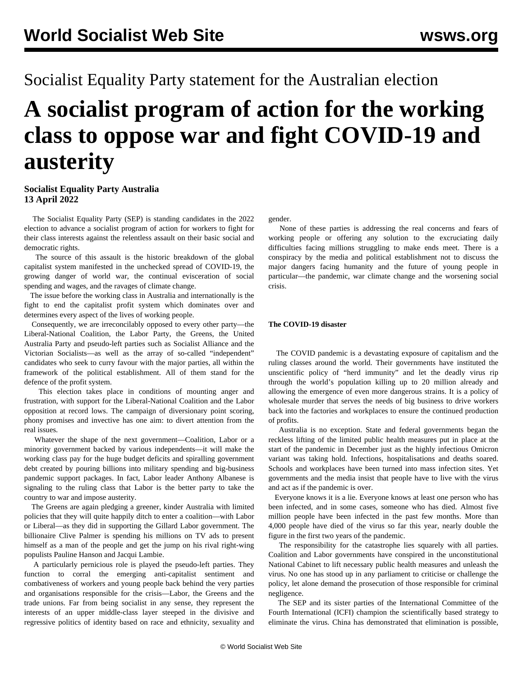## Socialist Equality Party statement for the Australian election

# **A socialist program of action for the working class to oppose war and fight COVID-19 and austerity**

#### **Socialist Equality Party Australia 13 April 2022**

 The Socialist Equality Party (SEP) is standing candidates in the 2022 election to advance a socialist program of action for workers to fight for their class interests against the relentless assault on their basic social and democratic rights.

 The source of this assault is the historic breakdown of the global capitalist system manifested in the unchecked spread of COVID-19, the growing danger of world war, the continual evisceration of social spending and wages, and the ravages of climate change.

 The issue before the working class in Australia and internationally is the fight to end the capitalist profit system which dominates over and determines every aspect of the lives of working people.

 Consequently, we are irreconcilably opposed to every other party—the Liberal-National Coalition, the Labor Party, the Greens, the United Australia Party and pseudo-left parties such as Socialist Alliance and the Victorian Socialists—as well as the array of so-called "independent" candidates who seek to curry favour with the major parties, all within the framework of the political establishment. All of them stand for the defence of the profit system.

 This election takes place in conditions of mounting anger and frustration, with support for the Liberal-National Coalition and the Labor opposition at record lows. The campaign of diversionary point scoring, phony promises and invective has one aim: to divert attention from the real issues.

 Whatever the shape of the next government—Coalition, Labor or a minority government backed by various independents—it will make the working class pay for the huge budget deficits and spiralling government debt created by pouring billions into military spending and big-business pandemic support packages. In fact, Labor leader Anthony Albanese is signaling to the ruling class that Labor is the better party to take the country to war and impose austerity.

 The Greens are again pledging a greener, kinder Australia with limited policies that they will quite happily ditch to enter a coalition—with Labor or Liberal—as they did in supporting the Gillard Labor government. The billionaire Clive Palmer is spending his millions on TV ads to present himself as a man of the people and get the jump on his rival right-wing populists Pauline Hanson and Jacqui Lambie.

 A particularly pernicious role is played the pseudo-left parties. They function to corral the emerging anti-capitalist sentiment and combativeness of workers and young people back behind the very parties and organisations responsible for the crisis—Labor, the Greens and the trade unions. Far from being socialist in any sense, they represent the interests of an upper middle-class layer steeped in the divisive and regressive politics of identity based on race and ethnicity, sexuality and

gender.

 None of these parties is addressing the real concerns and fears of working people or offering any solution to the excruciating daily difficulties facing millions struggling to make ends meet. There is a conspiracy by the media and political establishment not to discuss the major dangers facing humanity and the future of young people in particular—the pandemic, war climate change and the worsening social crisis.

#### **The COVID-19 disaster**

 The COVID pandemic is a devastating exposure of capitalism and the ruling classes around the world. Their governments have instituted the unscientific policy of "herd immunity" and let the deadly virus rip through the world's population killing up to 20 million already and allowing the emergence of even more dangerous strains. It is a policy of wholesale murder that serves the needs of big business to drive workers back into the factories and workplaces to ensure the continued production of profits.

 Australia is no exception. State and federal governments began the reckless lifting of the limited public health measures put in place at the start of the pandemic in December just as the highly infectious Omicron variant was taking hold. Infections, hospitalisations and deaths soared. Schools and workplaces have been turned into mass infection sites. Yet governments and the media insist that people have to live with the virus and act as if the pandemic is over.

 Everyone knows it is a lie. Everyone knows at least one person who has been infected, and in some cases, someone who has died. Almost five million people have been infected in the past few months. More than 4,000 people have died of the virus so far this year, nearly double the figure in the first two years of the pandemic.

 The responsibility for the catastrophe lies squarely with all parties. Coalition and Labor governments have conspired in the unconstitutional National Cabinet to lift necessary public health measures and unleash the virus. No one has stood up in any parliament to criticise or challenge the policy, let alone demand the prosecution of those responsible for criminal negligence.

 The SEP and its sister parties of the International Committee of the Fourth International (ICFI) champion the scientifically based strategy to eliminate the virus. China has demonstrated that elimination is possible,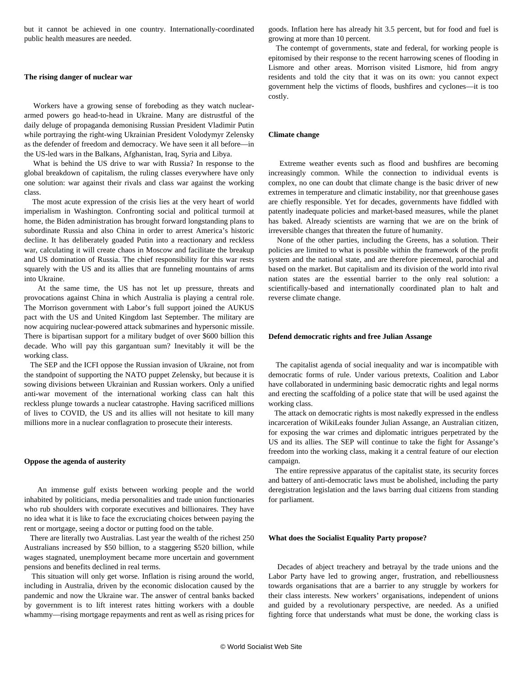but it cannot be achieved in one country. Internationally-coordinated public health measures are needed.

#### **The rising danger of nuclear war**

 Workers have a growing sense of foreboding as they watch nucleararmed powers go head-to-head in Ukraine. Many are distrustful of the daily deluge of propaganda demonising Russian President Vladimir Putin while portraying the right-wing Ukrainian President Volodymyr Zelensky as the defender of freedom and democracy. We have seen it all before—in the US-led wars in the Balkans, Afghanistan, Iraq, Syria and Libya.

 What is behind the US drive to war with Russia? In response to the global breakdown of capitalism, the ruling classes everywhere have only one solution: war against their rivals and class war against the working class.

 The most acute expression of the crisis lies at the very heart of world imperialism in Washington. Confronting social and political turmoil at home, the Biden administration has brought forward longstanding plans to subordinate Russia and also China in order to arrest America's historic decline. It has deliberately goaded Putin into a reactionary and reckless war, calculating it will create chaos in Moscow and facilitate the breakup and US domination of Russia. The chief responsibility for this war rests squarely with the US and its allies that are funneling mountains of arms into Ukraine.

 At the same time, the US has not let up pressure, threats and provocations against China in which Australia is playing a central role. The Morrison government with Labor's full support joined the AUKUS pact with the US and United Kingdom last September. The military are now acquiring nuclear-powered attack submarines and hypersonic missile. There is bipartisan support for a military budget of over \$600 billion this decade. Who will pay this gargantuan sum? Inevitably it will be the working class.

 The SEP and the ICFI oppose the Russian invasion of Ukraine, not from the standpoint of supporting the NATO puppet Zelensky, but because it is sowing divisions between Ukrainian and Russian workers. Only a unified anti-war movement of the international working class can halt this reckless plunge towards a nuclear catastrophe. Having sacrificed millions of lives to COVID, the US and its allies will not hesitate to kill many millions more in a nuclear conflagration to prosecute their interests.

#### **Oppose the agenda of austerity**

 An immense gulf exists between working people and the world inhabited by politicians, media personalities and trade union functionaries who rub shoulders with corporate executives and billionaires. They have no idea what it is like to face the excruciating choices between paying the rent or mortgage, seeing a doctor or putting food on the table.

 There are literally two Australias. Last year the wealth of the richest 250 Australians increased by \$50 billion, to a staggering \$520 billion, while wages stagnated, unemployment became more uncertain and government pensions and benefits declined in real terms.

 This situation will only get worse. Inflation is rising around the world, including in Australia, driven by the economic dislocation caused by the pandemic and now the Ukraine war. The answer of central banks backed by government is to lift interest rates hitting workers with a double whammy—rising mortgage repayments and rent as well as rising prices for goods. Inflation here has already hit 3.5 percent, but for food and fuel is growing at more than 10 percent.

 The contempt of governments, state and federal, for working people is epitomised by their response to the recent harrowing scenes of flooding in Lismore and other areas. Morrison visited Lismore, hid from angry residents and told the city that it was on its own: you cannot expect government help the victims of floods, bushfires and cyclones—it is too costly.

#### **Climate change**

 Extreme weather events such as flood and bushfires are becoming increasingly common. While the connection to individual events is complex, no one can doubt that climate change is the basic driver of new extremes in temperature and climatic instability, nor that greenhouse gases are chiefly responsible. Yet for decades, governments have fiddled with patently inadequate policies and market-based measures, while the planet has baked. Already scientists are warning that we are on the brink of irreversible changes that threaten the future of humanity.

 None of the other parties, including the Greens, has a solution. Their policies are limited to what is possible within the framework of the profit system and the national state, and are therefore piecemeal, parochial and based on the market. But capitalism and its division of the world into rival nation states are the essential barrier to the only real solution: a scientifically-based and internationally coordinated plan to halt and reverse climate change.

#### **Defend democratic rights and free Julian Assange**

 The capitalist agenda of social inequality and war is incompatible with democratic forms of rule. Under various pretexts, Coalition and Labor have collaborated in undermining basic democratic rights and legal norms and erecting the scaffolding of a police state that will be used against the working class.

 The attack on democratic rights is most nakedly expressed in the endless incarceration of WikiLeaks founder Julian Assange, an Australian citizen, for exposing the war crimes and diplomatic intrigues perpetrated by the US and its allies. The SEP will continue to take the fight for Assange's freedom into the working class, making it a central feature of our election campaign.

 The entire repressive apparatus of the capitalist state, its security forces and battery of anti-democratic laws must be abolished, including the party deregistration legislation and the laws barring dual citizens from standing for parliament.

#### **What does the Socialist Equality Party propose?**

 Decades of abject treachery and betrayal by the trade unions and the Labor Party have led to growing anger, frustration, and rebelliousness towards organisations that are a barrier to any struggle by workers for their class interests. New workers' organisations, independent of unions and guided by a revolutionary perspective, are needed. As a unified fighting force that understands what must be done, the working class is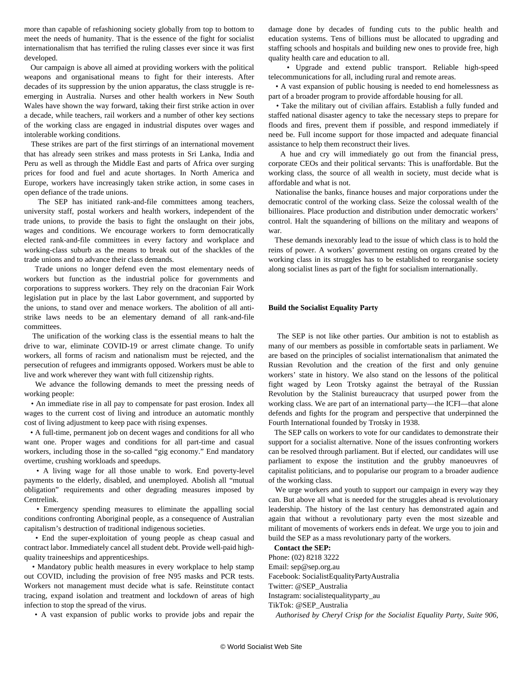more than capable of refashioning society globally from top to bottom to meet the needs of humanity. That is the essence of the fight for socialist internationalism that has terrified the ruling classes ever since it was first developed.

 Our campaign is above all aimed at providing workers with the political weapons and organisational means to fight for their interests. After decades of its suppression by the union apparatus, the class struggle is reemerging in Australia. Nurses and other health workers in New South Wales have shown the way forward, taking their first strike action in over a decade, while teachers, rail workers and a number of other key sections of the working class are engaged in industrial disputes over wages and intolerable working conditions.

 These strikes are part of the first stirrings of an international movement that has already seen strikes and mass protests in Sri Lanka, India and Peru as well as through the Middle East and parts of Africa over surging prices for food and fuel and acute shortages. In North America and Europe, workers have increasingly taken strike action, in some cases in open defiance of the trade unions.

 The SEP has initiated rank-and-file committees among teachers, university staff, postal workers and health workers, independent of the trade unions, to provide the basis to fight the onslaught on their jobs, wages and conditions. We encourage workers to form democratically elected rank-and-file committees in every factory and workplace and working-class suburb as the means to break out of the shackles of the trade unions and to advance their class demands.

 Trade unions no longer defend even the most elementary needs of workers but function as the industrial police for governments and corporations to suppress workers. They rely on the draconian Fair Work legislation put in place by the last Labor government, and supported by the unions, to stand over and menace workers. The abolition of all antistrike laws needs to be an elementary demand of all rank-and-file committees.

 The unification of the working class is the essential means to halt the drive to war, eliminate COVID-19 or arrest climate change. To unify workers, all forms of racism and nationalism must be rejected, and the persecution of refugees and immigrants opposed. Workers must be able to live and work wherever they want with full citizenship rights.

 We advance the following demands to meet the pressing needs of working people:

 • An immediate rise in all pay to compensate for past erosion. Index all wages to the current cost of living and introduce an automatic monthly cost of living adjustment to keep pace with rising expenses.

 • A full-time, permanent job on decent wages and conditions for all who want one. Proper wages and conditions for all part-time and casual workers, including those in the so-called "gig economy." End mandatory overtime, crushing workloads and speedups.

 • A living wage for all those unable to work. End poverty-level payments to the elderly, disabled, and unemployed. Abolish all "mutual obligation" requirements and other degrading measures imposed by Centrelink.

 • Emergency spending measures to eliminate the appalling social conditions confronting Aboriginal people, as a consequence of Australian capitalism's destruction of traditional indigenous societies.

 • End the super-exploitation of young people as cheap casual and contract labor. Immediately cancel all student debt. Provide well-paid highquality traineeships and apprenticeships.

 • Mandatory public health measures in every workplace to help stamp out COVID, including the provision of free N95 masks and PCR tests. Workers not management must decide what is safe. Reinstitute contact tracing, expand isolation and treatment and lockdown of areas of high infection to stop the spread of the virus.

• A vast expansion of public works to provide jobs and repair the

damage done by decades of funding cuts to the public health and education systems. Tens of billions must be allocated to upgrading and staffing schools and hospitals and building new ones to provide free, high quality health care and education to all.

 • Upgrade and extend public transport. Reliable high-speed telecommunications for all, including rural and remote areas.

 • A vast expansion of public housing is needed to end homelessness as part of a broader program to provide affordable housing for all.

 • Take the military out of civilian affairs. Establish a fully funded and staffed national disaster agency to take the necessary steps to prepare for floods and fires, prevent them if possible, and respond immediately if need be. Full income support for those impacted and adequate financial assistance to help them reconstruct their lives.

 A hue and cry will immediately go out from the financial press, corporate CEOs and their political servants: This is unaffordable. But the working class, the source of all wealth in society, must decide what is affordable and what is not.

 Nationalise the banks, finance houses and major corporations under the democratic control of the working class. Seize the colossal wealth of the billionaires. Place production and distribution under democratic workers' control. Halt the squandering of billions on the military and weapons of war.

 These demands inexorably lead to the issue of which class is to hold the reins of power. A workers' government resting on organs created by the working class in its struggles has to be established to reorganise society along socialist lines as part of the fight for socialism internationally.

#### **Build the Socialist Equality Party**

 The SEP is not like other parties. Our ambition is not to establish as many of our members as possible in comfortable seats in parliament. We are based on the principles of socialist internationalism that animated the Russian Revolution and the creation of the first and only genuine workers' state in history. We also stand on the lessons of the political fight waged by Leon Trotsky against the betrayal of the Russian Revolution by the Stalinist bureaucracy that usurped power from the working class. We are part of an international party—the ICFI—that alone defends and fights for the program and perspective that underpinned the Fourth International founded by Trotsky in 1938.

 The SEP calls on workers to vote for our candidates to demonstrate their support for a socialist alternative. None of the issues confronting workers can be resolved through parliament. But if elected, our candidates will use parliament to expose the institution and the grubby manoeuvres of capitalist politicians, and to popularise our program to a broader audience of the working class.

 We urge workers and youth to support our campaign in every way they can. But above all what is needed for the struggles ahead is revolutionary leadership. The history of the last century has demonstrated again and again that without a revolutionary party even the most sizeable and militant of movements of workers ends in defeat. We urge you to [join](/en/special/pages/sep/australia/join.html) and build the SEP as a mass revolutionary party of the workers.

**Contact the SEP:**

Phone: [\(02\) 8218 3222](tel:+282183222) Email: [sep@sep.org.au](mailto:sep@sep.org.au) Facebook: [SocialistEqualityPartyAustralia](https://www.facebook.com/SocialistEqualityPartyAustralia) Twitter: [@SEP\\_Australia](https://twitter.com/SEP_Australia) Instagram: [socialistequalityparty\\_au](https://www.instagram.com/socialistequalityparty_au/) TikTok: [@SEP\\_Australia](https://www.tiktok.com/@SEP_Australia/)

*Authorised by Cheryl Crisp for the Socialist Equality Party, Suite 906,*